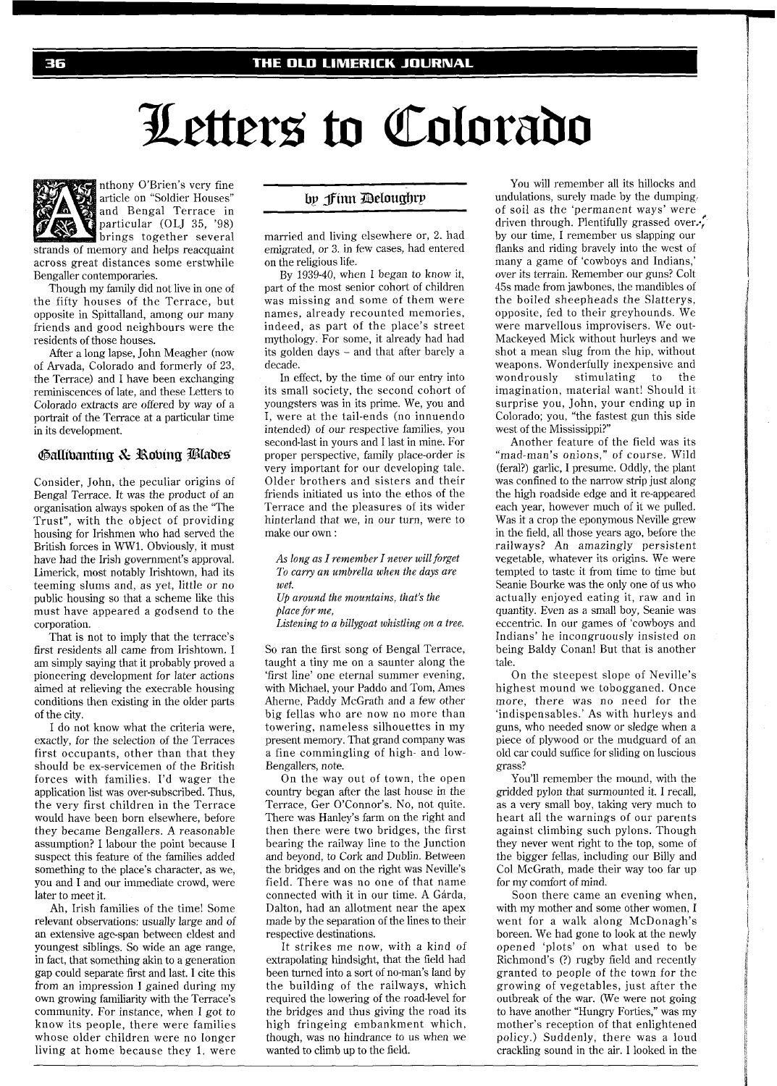## Letters to Colorado



nthony O'Brien's very fine article on "Soldier Houses" and Bengal Terrace in particular (OLJ **35,** '98) brings together several

strands of memory and helps reacquaint across great distances some erstwhile Bengaller contemporaries.

Though my family did not live in one of the fifty houses of the Terrace, but opposite in Spittalland, among our many friends and good neighbours were the residents of those houses.

After a long lapse, John Meagher (now of Arvada, Colorado and formerly of 23, the Terrace) and I have been exchanging reminiscences of late, and these Letters to Colorado extracts are offered by way of a portrait of the Terrace at a particular time in its development.

## Gallibanting & Robing Blades

Consider, John, the peculiar origins of Bengal Terrace. It was the product of an organisation always spoken of as the "The Trust", with the object of providing housing for Irishmen who had served the British forces in WW1. Obviously, it must have had the Irish government's approval. Limerick, most notably Irishtown, had its teeming slums and, as yet, little or no public housing so that a scheme like this must have appeared a godsend to the corporation.

That is not to imply that the terrace's first residents all came from Irishtown. I am simply saying that it probably proved a pioneering development for later actions aimed at relieving the execrable housing conditions then existing in the older parts of the city.

I do not know what the criteria were, exactly, for the selection of the Terraces first occupants, other than that they should be ex-servicemen of the British forces with families. I'd wager the application list was over-subscribed. Thus, the very first children in the Terrace would have been born elsewhere, before they became Bengallers. A reasonable assumption? I labour the point because I suspect this feature of the families added something to the place's character, as we, you and I and our immediate crowd, were later to meet it.

Ah, Irish families of the time! Some relevant observations: usually large and of an extensive age-span between eldest and youngest siblings. So wide an age range, in fact, that something akin to a generation gap could separate first and last. I cite this from an impression I gained during my own growing familiarity with the Terrace's community. For instance, when I got to know its people, there were families whose older children were no longer living at home because they 1. were

## by finn Deloughry

married and living elsewhere or, 2. had emigrated, or 3. in few cases, had entered on the religious life.

By 1939-40, when I began to know it, part of the most senior cohort of children was missing and some of them were names, already recounted memories, indeed, as part of the place's street mythology. For some, it already had had its golden days - and that after barely a decade.

In effect, by the time of our entry into its small society, the second cohort of youngsters was in its prime. We, you and I, were at the tail-ends (no innuendo intended) of our respective families, you second-last in yours and I last in mine. For proper perspective, family place-order is very important for our developing tale. Older brothers and sisters and their friends initiated us into the ethos of the Terrace and the pleasures of its wider hinterland that we, in our turn, were to make our own :

*As long as I remember I never will forget To cary, an umbrella when the days are wet.* 

*Up around the mountains, that's the place for me,* 

*Listening to a billygoat whistling on a tree.* 

So ran the first song of Bengal Terrace, taught a tiny me on a saunter along the 'first line' one eternal summer evening, with Michael, your Paddo and Tom, Ames Aherne, Paddy McGrath and a few other big fellas who are now no more than towering, nameless silhouettes in my present memory. That grand company was a fine commingling of high- and low-Bengallers, note.

On the way out of town, the open country began after the last house in the Terrace, Ger O'Connor's. No, not quite. There was Hanley's farm on the right and then there were two bridges, the first bearing the railway line to the Junction and beyond, to Cork and Dublin. Between the bridges and on the right was Neville's field. There was no one of that name connected with it in our time. A Garda, Dalton, had an allotment near the apex made by the separation of the lines to their respective destinations.

It strikes me now, with a kind of extrapolating hindsight, that the field had been turned into a sort of no-man's land by the building of the railways, which required the lowering of the road-level for the bridges and thus giving the road its high fringeing embankment which, though, was no hindrance to us when we wanted to climb up to the field.

You will remember all its hillocks and undulations, surely made by the dumping, of soil as the 'permanent ways' were **<sup>p</sup>** driven through. Plentifully grassed over... by our time, I remember us slapping our flanks and riding bravely into the west of many a game of 'cowboys and Indians,' over its terrain. Remember our guns? Colt 45s made from jawbones, the mandibles of the boiled sheepheads the Slatterys, opposite, fed to their greyhounds. We were marvellous improvisers. We out-Mackeyed Mick without hurleys and we shot a mean slug from the hip, without weapons. Wonderfully inexpensive and<br>wondrously stimulating to the stimulating imagination, material want! Should it surprise you, John, your ending up in Colorado; you, "the fastest gun this side west of the Mississippi?"

Another feature of the field was its "mad-man's onions," of course. Wild (feral?) garlic, 1 presume. Oddly, the plant was confined to the narrow strip just along the high roadside edge and it re-appeared each year, however much of it we pulled. Was it a crop the eponymous Neville grew in the field, all those years ago, before the railways? An amazingly persistent vegetable, whatever its origins. We were tempted to taste it from time to time but Seanie Bourke was the only one of us who actually enjoyed eating it, raw and in quantity. Even as a small boy, Seanie was eccentric. In our games of 'cowboys and Indians' he incongruously insisted on being Baldy Conan! But that is another tale.

On the steepest slope of Neville's highest mound we tobogganed. Once more, there was no need for the 'indispensables.' As with hurleys and guns, who needed snow or sledge when a piece of plywood or the mudguard of an old car could suffice for sliding on luscious grass?

You'll remember the mound, with the gridded pylon that surmounted it. I recall, as a very small boy, taking very much to heart all the warnings of our parents against climbing such pylons. Though they never went right to the top, some of the bigger fellas, including our Billy and Col McGrath, made their way too far up for my comfort of mind.

Soon there came an evening when, with my mother and some other women, I went for a walk along McDonagh's boreen. We had gone to look at the newly opened 'plots' on what used to be Richmond's (?) rugby field and recently granted to people of the town for the growing of vegetables, just after the outbreak of the war. (We were not going to have another "Hungry Forties," was my mother's reception of that enlightened policy.) Suddenly, there was a loud crackling sound in the air. I looked in the